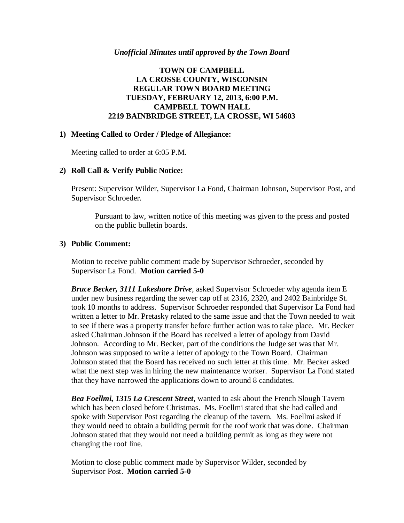#### *Unofficial Minutes until approved by the Town Board*

## **TOWN OF CAMPBELL LA CROSSE COUNTY, WISCONSIN REGULAR TOWN BOARD MEETING TUESDAY, FEBRUARY 12, 2013, 6:00 P.M. CAMPBELL TOWN HALL 2219 BAINBRIDGE STREET, LA CROSSE, WI 54603**

### **1) Meeting Called to Order / Pledge of Allegiance:**

Meeting called to order at 6:05 P.M.

### **2) Roll Call & Verify Public Notice:**

Present: Supervisor Wilder, Supervisor La Fond, Chairman Johnson, Supervisor Post, and Supervisor Schroeder.

Pursuant to law, written notice of this meeting was given to the press and posted on the public bulletin boards.

#### **3) Public Comment:**

Motion to receive public comment made by Supervisor Schroeder, seconded by Supervisor La Fond. **Motion carried 5-0**

*Bruce Becker, 3111 Lakeshore Drive*, asked Supervisor Schroeder why agenda item E under new business regarding the sewer cap off at 2316, 2320, and 2402 Bainbridge St. took 10 months to address. Supervisor Schroeder responded that Supervisor La Fond had written a letter to Mr. Pretasky related to the same issue and that the Town needed to wait to see if there was a property transfer before further action was to take place. Mr. Becker asked Chairman Johnson if the Board has received a letter of apology from David Johnson. According to Mr. Becker, part of the conditions the Judge set was that Mr. Johnson was supposed to write a letter of apology to the Town Board. Chairman Johnson stated that the Board has received no such letter at this time. Mr. Becker asked what the next step was in hiring the new maintenance worker. Supervisor La Fond stated that they have narrowed the applications down to around 8 candidates.

*Bea Foellmi, 1315 La Crescent Street*, wanted to ask about the French Slough Tavern which has been closed before Christmas. Ms. Foellmi stated that she had called and spoke with Supervisor Post regarding the cleanup of the tavern. Ms. Foellmi asked if they would need to obtain a building permit for the roof work that was done. Chairman Johnson stated that they would not need a building permit as long as they were not changing the roof line.

Motion to close public comment made by Supervisor Wilder, seconded by Supervisor Post. **Motion carried 5-0**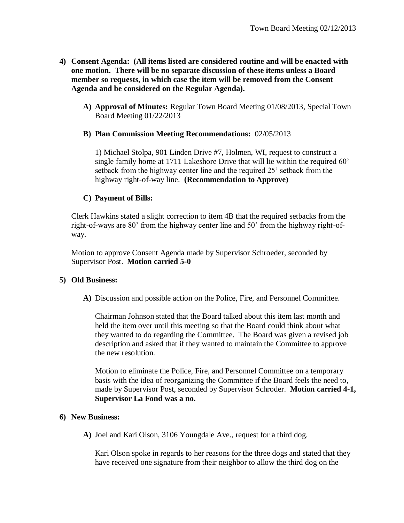- **4) Consent Agenda: (All items listed are considered routine and will be enacted with one motion. There will be no separate discussion of these items unless a Board member so requests, in which case the item will be removed from the Consent Agenda and be considered on the Regular Agenda).**
	- **A) Approval of Minutes:** Regular Town Board Meeting 01/08/2013, Special Town Board Meeting 01/22/2013
	- **B) Plan Commission Meeting Recommendations:** 02/05/2013

1) Michael Stolpa, 901 Linden Drive #7, Holmen, WI, request to construct a single family home at 1711 Lakeshore Drive that will lie within the required 60' setback from the highway center line and the required 25' setback from the highway right-of-way line. **(Recommendation to Approve)**

# **C) Payment of Bills:**

Clerk Hawkins stated a slight correction to item 4B that the required setbacks from the right-of-ways are 80' from the highway center line and 50' from the highway right-ofway.

Motion to approve Consent Agenda made by Supervisor Schroeder, seconded by Supervisor Post. **Motion carried 5-0**

# **5) Old Business:**

**A)** Discussion and possible action on the Police, Fire, and Personnel Committee.

Chairman Johnson stated that the Board talked about this item last month and held the item over until this meeting so that the Board could think about what they wanted to do regarding the Committee. The Board was given a revised job description and asked that if they wanted to maintain the Committee to approve the new resolution.

Motion to eliminate the Police, Fire, and Personnel Committee on a temporary basis with the idea of reorganizing the Committee if the Board feels the need to, made by Supervisor Post, seconded by Supervisor Schroder. **Motion carried 4-1, Supervisor La Fond was a no.**

# **6) New Business:**

**A)** Joel and Kari Olson, 3106 Youngdale Ave., request for a third dog.

Kari Olson spoke in regards to her reasons for the three dogs and stated that they have received one signature from their neighbor to allow the third dog on the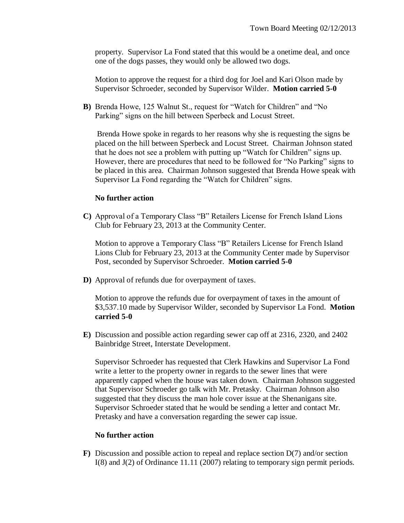property. Supervisor La Fond stated that this would be a onetime deal, and once one of the dogs passes, they would only be allowed two dogs.

Motion to approve the request for a third dog for Joel and Kari Olson made by Supervisor Schroeder, seconded by Supervisor Wilder. **Motion carried 5-0**

**B)** Brenda Howe, 125 Walnut St., request for "Watch for Children" and "No Parking" signs on the hill between Sperbeck and Locust Street.

Brenda Howe spoke in regards to her reasons why she is requesting the signs be placed on the hill between Sperbeck and Locust Street. Chairman Johnson stated that he does not see a problem with putting up "Watch for Children" signs up. However, there are procedures that need to be followed for "No Parking" signs to be placed in this area. Chairman Johnson suggested that Brenda Howe speak with Supervisor La Fond regarding the "Watch for Children" signs.

### **No further action**

**C)** Approval of a Temporary Class "B" Retailers License for French Island Lions Club for February 23, 2013 at the Community Center.

Motion to approve a Temporary Class "B" Retailers License for French Island Lions Club for February 23, 2013 at the Community Center made by Supervisor Post, seconded by Supervisor Schroeder. **Motion carried 5-0**

**D)** Approval of refunds due for overpayment of taxes.

Motion to approve the refunds due for overpayment of taxes in the amount of \$3,537.10 made by Supervisor Wilder, seconded by Supervisor La Fond. **Motion carried 5-0**

**E)** Discussion and possible action regarding sewer cap off at 2316, 2320, and 2402 Bainbridge Street, Interstate Development.

Supervisor Schroeder has requested that Clerk Hawkins and Supervisor La Fond write a letter to the property owner in regards to the sewer lines that were apparently capped when the house was taken down. Chairman Johnson suggested that Supervisor Schroeder go talk with Mr. Pretasky. Chairman Johnson also suggested that they discuss the man hole cover issue at the Shenanigans site. Supervisor Schroeder stated that he would be sending a letter and contact Mr. Pretasky and have a conversation regarding the sewer cap issue.

### **No further action**

**F)** Discussion and possible action to repeal and replace section D(7) and/or section I(8) and J(2) of Ordinance 11.11 (2007) relating to temporary sign permit periods.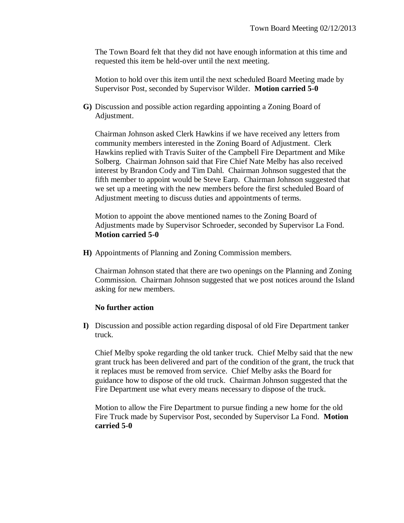The Town Board felt that they did not have enough information at this time and requested this item be held-over until the next meeting.

Motion to hold over this item until the next scheduled Board Meeting made by Supervisor Post, seconded by Supervisor Wilder. **Motion carried 5-0**

**G)** Discussion and possible action regarding appointing a Zoning Board of Adjustment.

Chairman Johnson asked Clerk Hawkins if we have received any letters from community members interested in the Zoning Board of Adjustment. Clerk Hawkins replied with Travis Suiter of the Campbell Fire Department and Mike Solberg. Chairman Johnson said that Fire Chief Nate Melby has also received interest by Brandon Cody and Tim Dahl. Chairman Johnson suggested that the fifth member to appoint would be Steve Earp. Chairman Johnson suggested that we set up a meeting with the new members before the first scheduled Board of Adjustment meeting to discuss duties and appointments of terms.

Motion to appoint the above mentioned names to the Zoning Board of Adjustments made by Supervisor Schroeder, seconded by Supervisor La Fond. **Motion carried 5-0**

**H)** Appointments of Planning and Zoning Commission members.

Chairman Johnson stated that there are two openings on the Planning and Zoning Commission. Chairman Johnson suggested that we post notices around the Island asking for new members.

# **No further action**

**I)** Discussion and possible action regarding disposal of old Fire Department tanker truck.

Chief Melby spoke regarding the old tanker truck. Chief Melby said that the new grant truck has been delivered and part of the condition of the grant, the truck that it replaces must be removed from service. Chief Melby asks the Board for guidance how to dispose of the old truck. Chairman Johnson suggested that the Fire Department use what every means necessary to dispose of the truck.

Motion to allow the Fire Department to pursue finding a new home for the old Fire Truck made by Supervisor Post, seconded by Supervisor La Fond. **Motion carried 5-0**